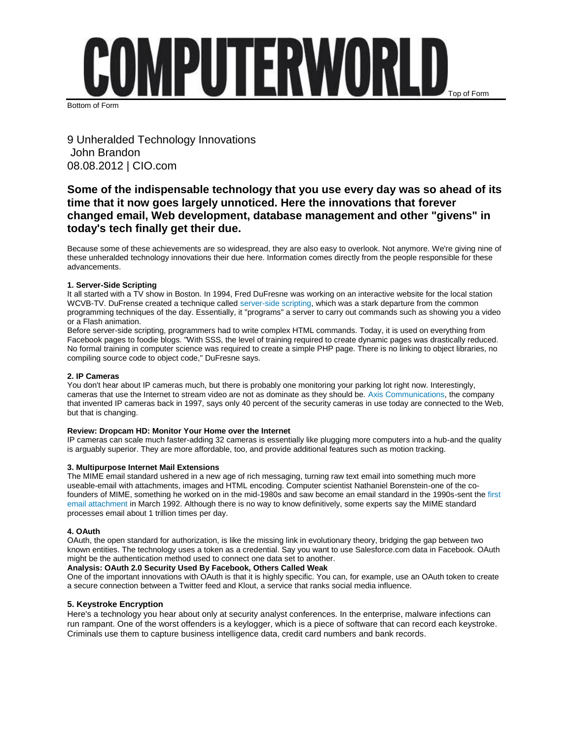

Bottom of Form

9 Unheralded Technology Innovations John Brandon 08.08.2012 | CIO.com

# **Some of the indispensable technology that you use every day was so ahead of its time that it now goes largely unnoticed. Here the innovations that forever changed email, Web development, database management and other "givens" in today's tech finally get their due.**

Because some of these achievements are so widespread, they are also easy to overlook. Not anymore. We're giving nine of these unheralded technology innovations their due here. Information comes directly from the people responsible for these advancements.

# **1. Server-Side Scripting**

It all started with a TV show in Boston. In 1994, Fred DuFresne was working on an interactive website for the local station WCVB-TV. DuFrense created a technique called [server-side scripting,](http://en.wikipedia.org/wiki/Server-side_scripting) which was a stark departure from the common programming techniques of the day. Essentially, it "programs" a server to carry out commands such as showing you a video or a Flash animation.

Before server-side scripting, programmers had to write complex HTML commands. Today, it is used on everything from Facebook pages to foodie blogs. "With SSS, the level of training required to create dynamic pages was drastically reduced. No formal training in computer science was required to create a simple PHP page. There is no linking to object libraries, no compiling source code to object code," DuFresne says.

# **2. IP Cameras**

You don't hear about IP cameras much, but there is probably one monitoring your parking lot right now. Interestingly, cameras that use the Internet to stream video are not as dominate as they should be. [Axis Communications,](http://www.axis.com/) the company that invented IP cameras back in 1997, says only 40 percent of the security cameras in use today are connected to the Web, but that is changing.

# **Review: Dropcam HD: Monitor Your Home over the Internet**

IP cameras can scale much faster-adding 32 cameras is essentially like plugging more computers into a hub-and the quality is arguably superior. They are more affordable, too, and provide additional features such as motion tracking.

### **3. Multipurpose Internet Mail Extensions**

The MIME email standard ushered in a new age of rich messaging, turning raw text email into something much more useable-email with attachments, images and HTML encoding. Computer scientist Nathaniel Borenstein-one of the cofounders of MIME, something he worked on in the mid-1980s and saw become an email standard in the 1990s-sent the [first](http://www.guppylake.com/nsb/mime.html)  [email attachment](http://www.guppylake.com/nsb/mime.html) in March 1992. Although there is no way to know definitively, some experts say the MIME standard processes email about 1 trillion times per day.

### **4. OAuth**

OAuth, the open standard for authorization, is like the missing link in evolutionary theory, bridging the gap between two known entities. The technology uses a token as a credential. Say you want to use Salesforce.com data in Facebook. OAuth might be the authentication method used to connect one data set to another.

# **Analysis: OAuth 2.0 Security Used By Facebook, Others Called Weak**

One of the important innovations with OAuth is that it is highly specific. You can, for example, use an OAuth token to create a secure connection between a Twitter feed and Klout, a service that ranks social media influence.

# **5. Keystroke Encryption**

Here's a technology you hear about only at security analyst conferences. In the enterprise, malware infections can run rampant. One of the worst offenders is a keylogger, which is a piece of software that can record each keystroke. Criminals use them to capture business intelligence data, credit card numbers and bank records.